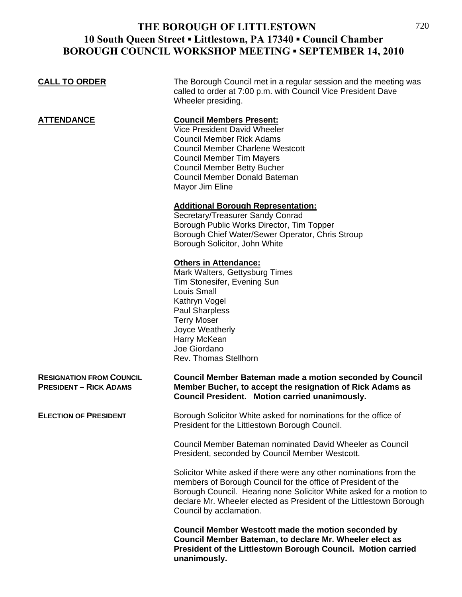| <u>CALL TO ORDER</u>                                             | The Borough Council met in a regular session and the meeting was<br>called to order at 7:00 p.m. with Council Vice President Dave<br>Wheeler presiding.                                                                                                                                                      |
|------------------------------------------------------------------|--------------------------------------------------------------------------------------------------------------------------------------------------------------------------------------------------------------------------------------------------------------------------------------------------------------|
| <u>ATTENDANCE</u>                                                | <b>Council Members Present:</b><br><b>Vice President David Wheeler</b><br><b>Council Member Rick Adams</b><br><b>Council Member Charlene Westcott</b><br><b>Council Member Tim Mayers</b><br><b>Council Member Betty Bucher</b><br>Council Member Donald Bateman<br>Mayor Jim Eline                          |
|                                                                  | <b>Additional Borough Representation:</b><br>Secretary/Treasurer Sandy Conrad<br>Borough Public Works Director, Tim Topper<br>Borough Chief Water/Sewer Operator, Chris Stroup<br>Borough Solicitor, John White                                                                                              |
|                                                                  | <b>Others in Attendance:</b><br>Mark Walters, Gettysburg Times<br>Tim Stonesifer, Evening Sun<br><b>Louis Small</b><br>Kathryn Vogel<br><b>Paul Sharpless</b><br><b>Terry Moser</b><br>Joyce Weatherly<br>Harry McKean<br>Joe Giordano<br>Rev. Thomas Stellhorn                                              |
| <b>RESIGNATION FROM COUNCIL</b><br><b>PRESIDENT - RICK ADAMS</b> | <b>Council Member Bateman made a motion seconded by Council</b><br>Member Bucher, to accept the resignation of Rick Adams as<br>Council President. Motion carried unanimously.                                                                                                                               |
| <b>ELECTION OF PRESIDENT</b>                                     | Borough Solicitor White asked for nominations for the office of<br>President for the Littlestown Borough Council.                                                                                                                                                                                            |
|                                                                  | Council Member Bateman nominated David Wheeler as Council<br>President, seconded by Council Member Westcott.                                                                                                                                                                                                 |
|                                                                  | Solicitor White asked if there were any other nominations from the<br>members of Borough Council for the office of President of the<br>Borough Council. Hearing none Solicitor White asked for a motion to<br>declare Mr. Wheeler elected as President of the Littlestown Borough<br>Council by acclamation. |
|                                                                  | Council Member Westcott made the motion seconded by<br>Council Member Bateman, to declare Mr. Wheeler elect as<br>President of the Littlestown Borough Council. Motion carried<br>unanimously.                                                                                                               |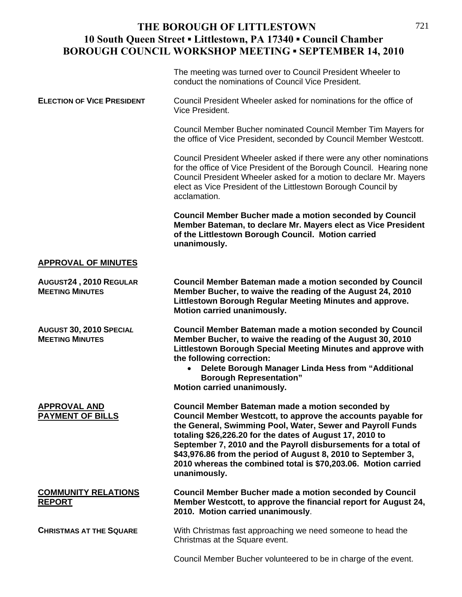721

|                                                          | The meeting was turned over to Council President Wheeler to<br>conduct the nominations of Council Vice President.                                                                                                                                                                                                                                                                                                                                               |
|----------------------------------------------------------|-----------------------------------------------------------------------------------------------------------------------------------------------------------------------------------------------------------------------------------------------------------------------------------------------------------------------------------------------------------------------------------------------------------------------------------------------------------------|
| <b>ELECTION OF VICE PRESIDENT</b>                        | Council President Wheeler asked for nominations for the office of<br>Vice President.                                                                                                                                                                                                                                                                                                                                                                            |
|                                                          | Council Member Bucher nominated Council Member Tim Mayers for<br>the office of Vice President, seconded by Council Member Westcott.                                                                                                                                                                                                                                                                                                                             |
|                                                          | Council President Wheeler asked if there were any other nominations<br>for the office of Vice President of the Borough Council. Hearing none<br>Council President Wheeler asked for a motion to declare Mr. Mayers<br>elect as Vice President of the Littlestown Borough Council by<br>acclamation.                                                                                                                                                             |
|                                                          | <b>Council Member Bucher made a motion seconded by Council</b><br>Member Bateman, to declare Mr. Mayers elect as Vice President<br>of the Littlestown Borough Council. Motion carried<br>unanimously.                                                                                                                                                                                                                                                           |
| <b>APPROVAL OF MINUTES</b>                               |                                                                                                                                                                                                                                                                                                                                                                                                                                                                 |
| AUGUST24, 2010 REGULAR<br><b>MEETING MINUTES</b>         | <b>Council Member Bateman made a motion seconded by Council</b><br>Member Bucher, to waive the reading of the August 24, 2010<br>Littlestown Borough Regular Meeting Minutes and approve.<br>Motion carried unanimously.                                                                                                                                                                                                                                        |
| <b>AUGUST 30, 2010 SPECIAL</b><br><b>MEETING MINUTES</b> | <b>Council Member Bateman made a motion seconded by Council</b><br>Member Bucher, to waive the reading of the August 30, 2010<br>Littlestown Borough Special Meeting Minutes and approve with<br>the following correction:<br>Delete Borough Manager Linda Hess from "Additional<br>$\bullet$<br><b>Borough Representation"</b><br>Motion carried unanimously.                                                                                                  |
| <b>APPROVAL AND</b><br><b>PAYMENT OF BILLS</b>           | Council Member Bateman made a motion seconded by<br>Council Member Westcott, to approve the accounts payable for<br>the General, Swimming Pool, Water, Sewer and Payroll Funds<br>totaling \$26,226.20 for the dates of August 17, 2010 to<br>September 7, 2010 and the Payroll disbursements for a total of<br>\$43,976.86 from the period of August 8, 2010 to September 3,<br>2010 whereas the combined total is \$70,203.06. Motion carried<br>unanimously. |
| <b>COMMUNITY RELATIONS</b><br><u>REPORT</u>              | <b>Council Member Bucher made a motion seconded by Council</b><br>Member Westcott, to approve the financial report for August 24,<br>2010. Motion carried unanimously.                                                                                                                                                                                                                                                                                          |
| <b>CHRISTMAS AT THE SQUARE</b>                           | With Christmas fast approaching we need someone to head the<br>Christmas at the Square event.                                                                                                                                                                                                                                                                                                                                                                   |

Council Member Bucher volunteered to be in charge of the event.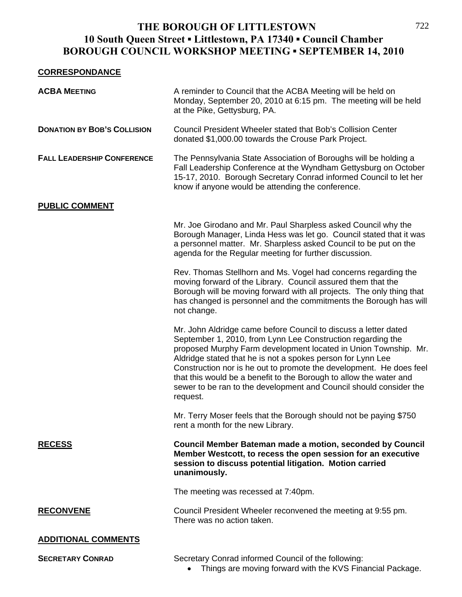## **CORRESPONDANCE**

| <b>ACBA MEETING</b>                | A reminder to Council that the ACBA Meeting will be held on<br>Monday, September 20, 2010 at 6:15 pm. The meeting will be held<br>at the Pike, Gettysburg, PA.                                                                                                                                                                                                                                                                                                                                  |
|------------------------------------|-------------------------------------------------------------------------------------------------------------------------------------------------------------------------------------------------------------------------------------------------------------------------------------------------------------------------------------------------------------------------------------------------------------------------------------------------------------------------------------------------|
| <b>DONATION BY BOB'S COLLISION</b> | Council President Wheeler stated that Bob's Collision Center<br>donated \$1,000.00 towards the Crouse Park Project.                                                                                                                                                                                                                                                                                                                                                                             |
| <b>FALL LEADERSHIP CONFERENCE</b>  | The Pennsylvania State Association of Boroughs will be holding a<br>Fall Leadership Conference at the Wyndham Gettysburg on October<br>15-17, 2010. Borough Secretary Conrad informed Council to let her<br>know if anyone would be attending the conference.                                                                                                                                                                                                                                   |
| <b>PUBLIC COMMENT</b>              |                                                                                                                                                                                                                                                                                                                                                                                                                                                                                                 |
|                                    | Mr. Joe Girodano and Mr. Paul Sharpless asked Council why the<br>Borough Manager, Linda Hess was let go. Council stated that it was<br>a personnel matter. Mr. Sharpless asked Council to be put on the<br>agenda for the Regular meeting for further discussion.                                                                                                                                                                                                                               |
|                                    | Rev. Thomas Stellhorn and Ms. Vogel had concerns regarding the<br>moving forward of the Library. Council assured them that the<br>Borough will be moving forward with all projects. The only thing that<br>has changed is personnel and the commitments the Borough has will<br>not change.                                                                                                                                                                                                     |
|                                    | Mr. John Aldridge came before Council to discuss a letter dated<br>September 1, 2010, from Lynn Lee Construction regarding the<br>proposed Murphy Farm development located in Union Township. Mr.<br>Aldridge stated that he is not a spokes person for Lynn Lee<br>Construction nor is he out to promote the development. He does feel<br>that this would be a benefit to the Borough to allow the water and<br>sewer to be ran to the development and Council should consider the<br>request. |
|                                    | Mr. Terry Moser feels that the Borough should not be paying \$750<br>rent a month for the new Library.                                                                                                                                                                                                                                                                                                                                                                                          |
| <b>RECESS</b>                      | Council Member Bateman made a motion, seconded by Council<br>Member Westcott, to recess the open session for an executive<br>session to discuss potential litigation. Motion carried<br>unanimously.                                                                                                                                                                                                                                                                                            |
|                                    | The meeting was recessed at 7:40pm.                                                                                                                                                                                                                                                                                                                                                                                                                                                             |
| <b>RECONVENE</b>                   | Council President Wheeler reconvened the meeting at 9:55 pm.<br>There was no action taken.                                                                                                                                                                                                                                                                                                                                                                                                      |
| <b>ADDITIONAL COMMENTS</b>         |                                                                                                                                                                                                                                                                                                                                                                                                                                                                                                 |
| <b>SECRETARY CONRAD</b>            | Secretary Conrad informed Council of the following:<br>Things are moving forward with the KVS Financial Package.                                                                                                                                                                                                                                                                                                                                                                                |